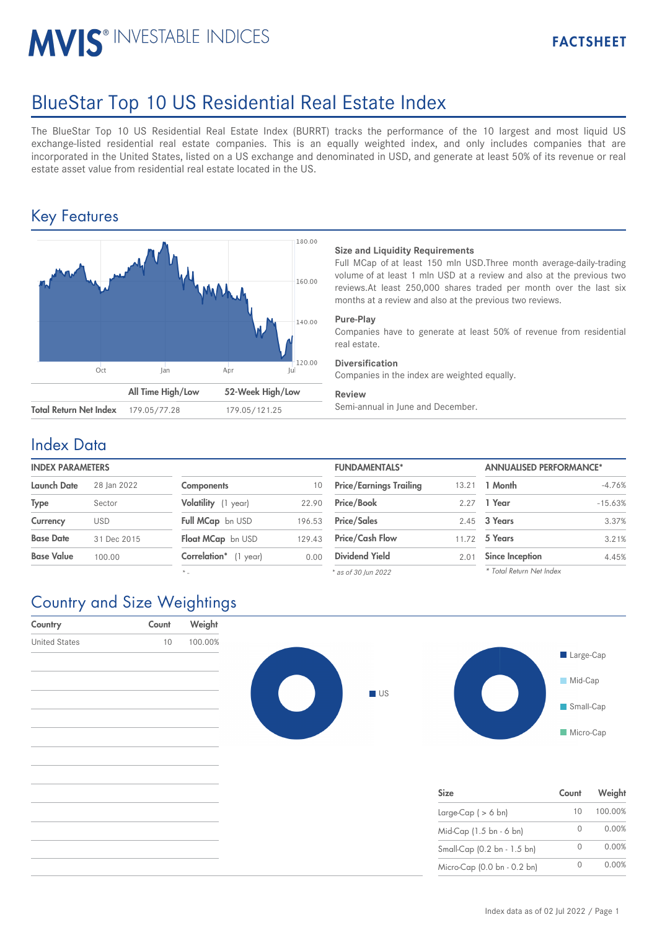# MVIS<sup>®</sup> INVESTABLE INDICES

## BlueStar Top 10 US Residential Real Estate Index

The BlueStar Top 10 US Residential Real Estate Index (BURRT) tracks the performance of the 10 largest and most liquid US exchange-listed residential real estate companies. This is an equally weighted index, and only includes companies that are incorporated in the United States, listed on a US exchange and denominated in USD, and generate at least 50% of its revenue or real estate asset value from residential real estate located in the US.

## Key Features



#### **Size and Liquidity Requirements**

Full MCap of at least 150 mln USD.Three month average-daily-trading volume of at least 1 mln USD at a review and also at the previous two reviews.At least 250,000 shares traded per month over the last six months at a review and also at the previous two reviews.

#### **Pure-Play**

Companies have to generate at least 50% of revenue from residential real estate.

#### **Diversification**

Companies in the index are weighted equally.

#### **Review**

### Index Data

| <b>INDEX PARAMETERS</b> |             |                            |        | <b>FUNDAMENTALS*</b>           |       | <b>ANNUALISED PERFORMANCE*</b> |  |
|-------------------------|-------------|----------------------------|--------|--------------------------------|-------|--------------------------------|--|
| <b>Launch Date</b>      | 28 Ian 2022 | <b>Components</b>          | 10     | <b>Price/Earnings Trailing</b> | 13.21 | 1 Month                        |  |
| <b>Type</b>             | Sector      | Volatility (1 year)        | 22.90  | <b>Price/Book</b>              | 2.27  | 1 Year                         |  |
| Currency                | <b>USD</b>  | Full MCap bn USD           | 196.53 | <b>Price/Sales</b>             |       | 2.45 3 Years                   |  |
| <b>Base Date</b>        | 31 Dec 2015 | Float MCap bn USD          | 129.43 | <b>Price/Cash Flow</b>         | 11.72 | 5 Years                        |  |
| <b>Base Value</b>       | 100.00      | Correlation*<br>$(1$ year) | 0.00   | <b>Dividend Yield</b>          | 2.01  | Since Inception                |  |

*\* -*

| <b>FUNDAMENTALS*</b>           |       | <b>ANNUALISED PERFORMANCE*</b> |           |  |
|--------------------------------|-------|--------------------------------|-----------|--|
| <b>Price/Earnings Trailing</b> | 13.21 | 1 Month                        | $-4.76%$  |  |
| Price/Book                     | 2.27  | 1 Year                         | $-15.63%$ |  |
| <b>Price/Sales</b>             | 2.45  | 3 Years                        | 3.37%     |  |
| <b>Price/Cash Flow</b>         |       | 11.72 5 Years                  | 3.21%     |  |
| <b>Dividend Yield</b>          | 2.01  | <b>Since Inception</b>         | 4.45%     |  |
| * as of 30 Iun 2022            |       | * Total Return Net Index       |           |  |

#### *\* as of 30 Jun 2022*

## Country and Size Weightings